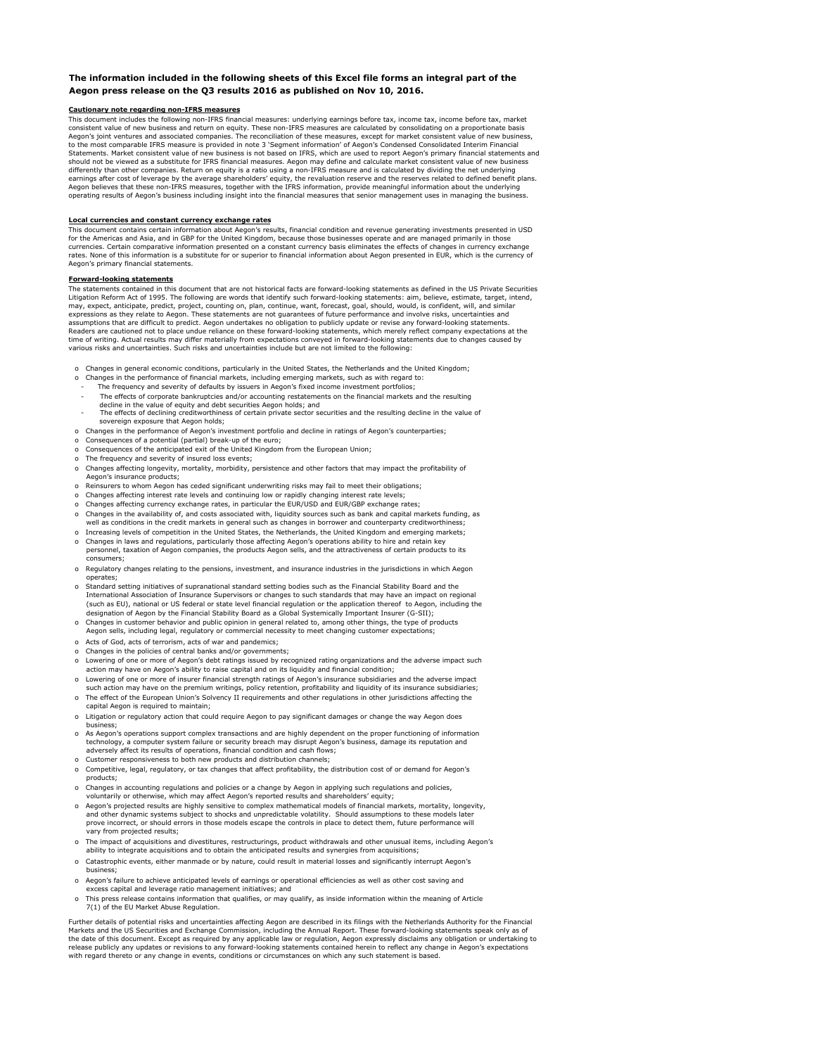### **The information included in the following sheets of this Excel file forms an integral part of the Aegon press release on the Q3 results 2016 as published on Nov 10, 2016.**

## **Cautionary note regarding non-IFRS measures**

This document includes the following non-IFRS financial measures: underlying earnings before tax, income tax, income before tax, market consistent value of new business and return on equity. These non-IFRS measures are calculated by consolidating on a proportionate basis<br>Aegon's joint ventures and associated companies. The reconciliation of these measures, to the most comparable IFRS measure is provided in note 3 'Segment information' of Aegon's Condensed Consolidated Interim Financial Statements. Market consistent value of new business is not based on IFRS, which are used to report Aegon's primary financial statements and<br>should not be viewed as a substitute for IFRS financial measures. Aegon may define differently than other companies. Return on equity is a ratio using a non-IFRS measure and is calculated by dividing the net underlying earnings after cost of leverage by the average shareholders' equity, the revaluation reserve and the reserves related to defined benefit plans.<br>Aegon believes that these non-IFRS measures, together with the IFRS informatio operating results of Aegon's business including insight into the financial measures that senior management uses in managing the business.

#### **Local currencies and constant currency exchange rates**

This document contains certain information about Aegon's results, financial condition and revenue generating investments presented in USD for the Americas and Asia, and in GBP for the United Kingdom, because those businesses operate and are managed primarily in those currencies. Certain comparative information presented on a constant currency basis eliminates the effects of changes in currency exchange rates. None of this information is a substitute for or superior to financial information about Aegon presented in EUR, which is the currency of Aegon's primary financial statements.

#### **Forward-looking statements**

The statements contained in this document that are not historical facts are forward-looking statements as defined in the US Private Securities Litigation Reform Act of 1995. The following are words that identify such forward-looking statements: aim, believe, estimate, target, intend,<br>may, expect, anticipate, predict, project, counting on, plan, continue, want, fo expressions as they relate to Aegon. These statements are not guarantees of future performance and involve risks, uncertainties and assumptions that are difficult to predict. Aegon undertakes no obligation to publicly update or revise any forward-looking statements. Readers are cautioned not to place undue reliance on these forward-looking statements, which merely reflect company expectations at the time of writing. Actual results may differ materially from expectations conveyed in forward-looking statements due to changes caused by<br>various risks and uncertainties. Such risks and uncertainties include but are not limi

- o Changes in general economic conditions, particularly in the United States, the Netherlands and the United Kingdom;
- o Changes in the performance of financial markets, including emerging markets, such as with regard to: The frequency and severity of defaults by issuers in Aegon's fixed income investment portfolios;
- 
- The effects of corporate bankruptcies and/or accounting restatements on the financial markets and the resulting
- decline in the value of equity and debt securities Aegon holds; and The effects of declining creditworthiness of certain private sector securities and the resulting decline in the value of sovereign exposure that Aegon holds;
- o Changes in the performance of Aegon's investment portfolio and decline in ratings of Aegon's counterparties;
- o Consequences of a potential (partial) break-up of the euro;
- Consequences of the anticipated exit of the United Kingdom from the European Union;
- The frequency and severity of insured loss events; o Changes affecting longevity, mortality, morbidity, persistence and other factors that may impact the profitability of Aegon's insurance products;
- o Reinsurers to whom Aegon has ceded significant underwriting risks may fail to meet their obligations;
- Changes affecting interest rate levels and continuing low or rapidly changing interest rate levels;
- Changes affecting currency exchange rates, in particular the EUR/USD and EUR/GBP exchange rates;
- o Changes in the availability of, and costs associated with, liquidity sources such as bank and capital markets funding, as well as conditions in the credit markets in general such as changes in borrower and counterparty creditworthiness;
- o Increasing levels of competition in the United States, the Netherlands, the United Kingdom and emerging markets; o Changes in laws and regulations, particularly those affecting Aegon's operations ability to hire and retain key personnel, taxation of Aegon companies, the products Aegon sells, and the attractiveness of certain products to its
- consumers; Regulatory changes relating to the pensions, investment, and insurance industries in the jurisdictions in which Aegon operates;
- Standard setting initiatives of supranational standard setting bodies such as the Financial Stability Board and the International Association of Insurance Supervisors or changes to such standards that may have an impact on regional (such as EU), national or US federal or state level financial regulation or the application thereof to Aegon, including the designation of Aegon by the Financial Stability Board as a Global Systemically Important Insurer (G-SII);
- o Changes in customer behavior and public opinion in general related to, among other things, the type of products Aegon sells, including legal, regulatory or commercial necessity to meet changing customer expectations;
- o Acts of God, acts of terrorism, acts of war and pandemics;
- o Changes in the policies of central banks and/or governments;
- o Lowering of one or more of Aegon's debt ratings issued by recognized rating organizations and the adverse impact such action may have on Aegon's ability to raise capital and on its liquidity and financial condition;
- o Lowering of one or more of insurer financial strength ratings of Aegon's insurance subsidiaries and the adverse impact such action may have on the premium writings, policy retention, profitability and liquidity of its insurance subsidiaries;
- o The effect of the European Union's Solvency II requirements and other regulations in other jurisdictions affecting the capital Aegon is required to maintain;
- o Litigation or regulatory action that could require Aegon to pay significant damages or change the way Aegon does business;
- o As Aegon's operations support complex transactions and are highly dependent on the proper functioning of information<br>technology, a computer system failure or security breach may disrupt Aegon's business, damage its reput adversely affect its results of operations, financial condition and cash flows;
- o Customer responsiveness to both new products and distribution channels;
- Competitive, legal, regulatory, or tax changes that affect profitability, the distribution cost of or demand for Aegon's products;
- o Changes in accounting regulations and policies or a change by Aegon in applying such regulations and policies, voluntarily or otherwise, which may affect Aegon's reported results and shareholders' equity;
- o Aegon's projected results are highly sensitive to complex mathematical models of financial markets, mortality, longevity, and other dynamic systems subject to shocks and unpredictable volatility. Should assumptions to these models later<br>prove incorrect, or should errors in those models escape the controls in place to detect them, future perf .<br>vary from projected results:
- o The impact of acquisitions and divestitures, restructurings, product withdrawals and other unusual items, including Aegon's ability to integrate acquisitions and to obtain the anticipated results and synergies from acquisitions;
- o Catastrophic events, either manmade or by nature, could result in material losses and significantly interrupt Aegon's business;
- o Aegon's failure to achieve anticipated levels of earnings or operational efficiencies as well as other cost saving and
- excess capital and leverage ratio management initiatives; and
- o This press release contains information that qualifies, or may qualify, as inside information within the meaning of Article 7(1) of the EU Market Abuse Regulation.

Further details of potential risks and uncertainties affecting Aegon are described in its filings with the Netherlands Authority for the Financial Markets and the US Securities and Exchange Commission, including the Annual Report. These forward-looking statements speak only as of<br>the date of this document. Except as required by any applicable law or regulation, Aegon release publicly any updates or revisions to any forward-looking statements contained herein to reflect any change in Aegon's expectations<br>with regard thereto or any change in events, conditions or circumstances on which a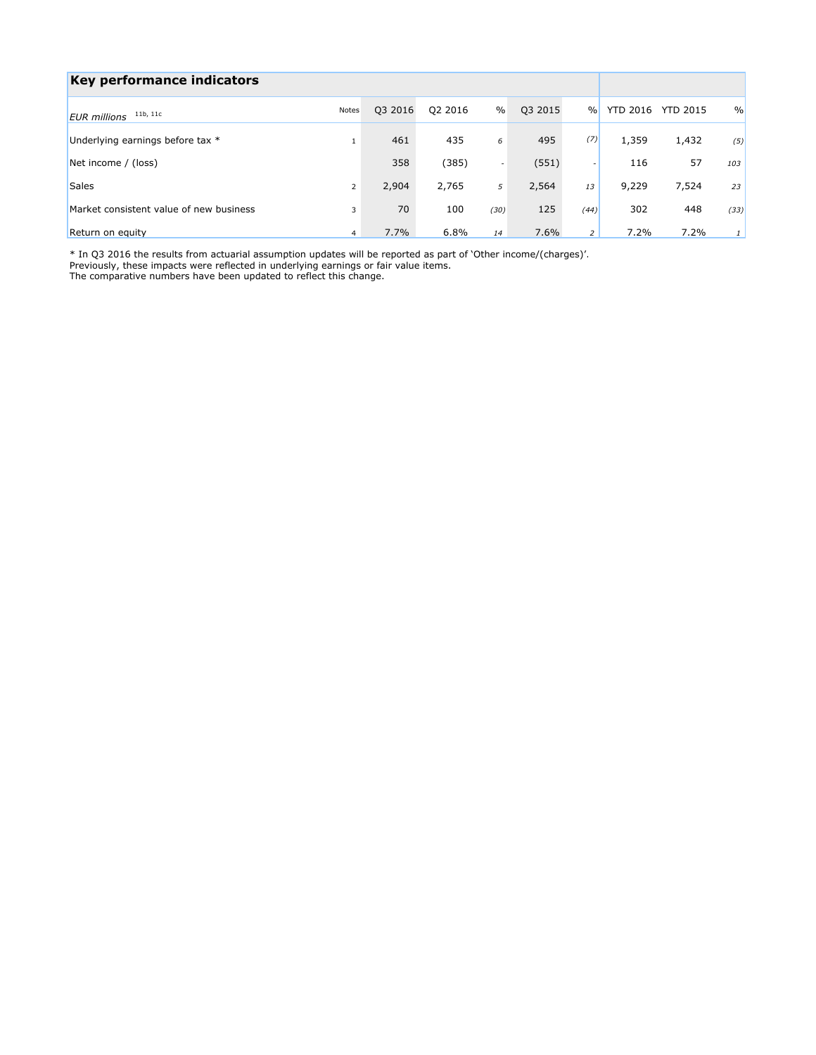| Key performance indicators              |                |         |         |                          |         |                          |                 |                 |               |
|-----------------------------------------|----------------|---------|---------|--------------------------|---------|--------------------------|-----------------|-----------------|---------------|
| 11b, 11c<br><b>EUR</b> millions         | Notes          | Q3 2016 | Q2 2016 | $\%$                     | Q3 2015 | $\frac{0}{0}$            | <b>YTD 2016</b> | <b>YTD 2015</b> | $\frac{0}{0}$ |
| Underlying earnings before tax *        | 1              | 461     | 435     | 6                        | 495     | (7)                      | 1,359           | 1,432           | (5)           |
| Net income / (loss)                     |                | 358     | (385)   | $\overline{\phantom{a}}$ | (551)   | $\overline{\phantom{a}}$ | 116             | 57              | 103           |
| <b>Sales</b>                            | $\overline{2}$ | 2,904   | 2,765   | 5                        | 2,564   | 13                       | 9,229           | 7,524           | 23            |
| Market consistent value of new business | 3              | 70      | 100     | (30)                     | 125     | (44)                     | 302             | 448             | (33)          |
| Return on equity                        | $\overline{4}$ | 7.7%    | 6.8%    | 14                       | 7.6%    | 2                        | 7.2%            | 7.2%            |               |

\* In Q3 2016 the results from actuarial assumption updates will be reported as part of 'Other income/(charges)'.

Previously, these impacts were reflected in underlying earnings or fair value items.

The comparative numbers have been updated to reflect this change.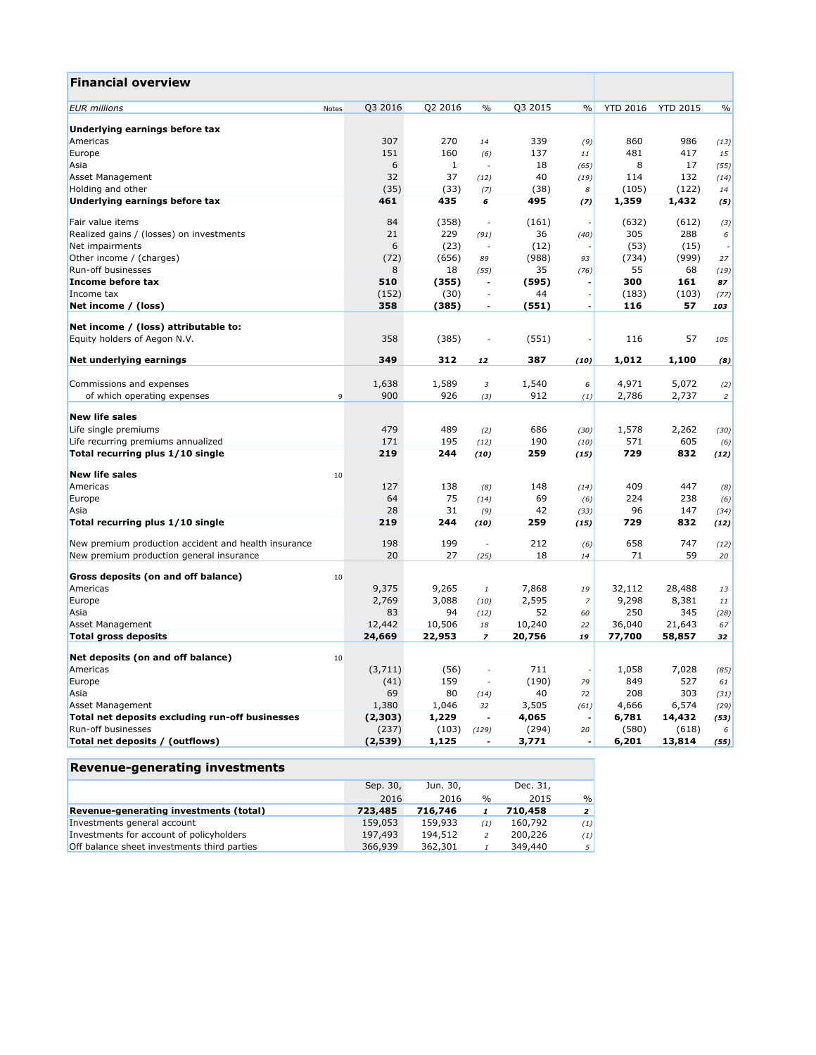| <b>Financial overview</b>                            |           |              |                          |         |                  |                 |                 |                |
|------------------------------------------------------|-----------|--------------|--------------------------|---------|------------------|-----------------|-----------------|----------------|
| <b>EUR</b> millions<br>Notes                         | Q3 2016   | Q2 2016      | $\frac{0}{0}$            | Q3 2015 | $\frac{0}{0}$    | <b>YTD 2016</b> | <b>YTD 2015</b> | $\frac{0}{0}$  |
| Underlying earnings before tax                       |           |              |                          |         |                  |                 |                 |                |
| Americas                                             | 307       | 270          | 14                       | 339     | (9)              | 860             | 986             | (13)           |
| Europe                                               | 151       | 160          | (6)                      | 137     | 11               | 481             | 417             | 15             |
| Asia                                                 | 6         | $\mathbf{1}$ | ÷.                       | 18      | (65)             | 8               | 17              | (55)           |
| Asset Management                                     | 32        | 37           | (12)                     | 40      | (19)             | 114             | 132             | (14)           |
| Holding and other                                    | (35)      | (33)         | (7)                      | (38)    | $\boldsymbol{s}$ | (105)           | (122)           | 14             |
| Underlying earnings before tax                       | 461       | 435          | 6                        | 495     | (7)              | 1,359           | 1,432           | (5)            |
| Fair value items                                     | 84        | (358)        | ÷,                       | (161)   |                  | (632)           | (612)           | (3)            |
| Realized gains / (losses) on investments             | 21        | 229          | (91)                     | 36      | (40)             | 305             | 288             | 6              |
| Net impairments                                      | 6         | (23)         | $\sim$                   | (12)    |                  | (53)            | (15)            |                |
| Other income / (charges)                             | (72)      | (656)        | 89                       | (988)   | 93               | (734)           | (999)           | 27             |
| Run-off businesses                                   | 8         | 18           | (55)                     | 35      | (76)             | 55              | 68              | (19)           |
| Income before tax                                    | 510       | (355)        | $\overline{\phantom{a}}$ | (595)   |                  | 300             | 161             | 87             |
| Income tax                                           | (152)     | (30)         | $\sim$                   | 44      |                  | (183)           | (103)           | (77)           |
| Net income / (loss)                                  | 358       | (385)        | $\overline{a}$           | (551)   | $\overline{a}$   | 116             | 57              | 103            |
| Net income / (loss) attributable to:                 |           |              |                          |         |                  |                 |                 |                |
| Equity holders of Aegon N.V.                         | 358       | (385)        |                          | (551)   |                  | 116             | 57              | 105            |
| Net underlying earnings                              | 349       | 312          | 12                       | 387     | (10)             | 1,012           | 1,100           | (8)            |
| Commissions and expenses                             | 1,638     | 1,589        | $\mathfrak{Z}$           | 1,540   | 6                | 4,971           | 5,072           | (2)            |
| of which operating expenses                          | 900<br>9  | 926          | (3)                      | 912     | (1)              | 2,786           | 2,737           | $\overline{2}$ |
| <b>New life sales</b>                                |           |              |                          |         |                  |                 |                 |                |
| Life single premiums                                 | 479       | 489          | (2)                      | 686     | (30)             | 1,578           | 2,262           | (30)           |
| Life recurring premiums annualized                   | 171       | 195          | (12)                     | 190     | (10)             | 571             | 605             | (6)            |
| Total recurring plus 1/10 single                     | 219       | 244          | (10)                     | 259     | (15)             | 729             | 832             | (12)           |
|                                                      |           |              |                          |         |                  |                 |                 |                |
| <b>New life sales</b>                                | 10<br>127 | 138          |                          | 148     |                  | 409             | 447             |                |
| Americas                                             | 64        | 75           | (8)                      | 69      | (14)             | 224             | 238             | (8)            |
| Europe                                               | 28        | 31           | (14)                     | 42      | (6)              | 96              | 147             | (6)            |
| Asia<br>Total recurring plus 1/10 single             | 219       | 244          | (9)<br>(10)              | 259     | (33)<br>(15)     | 729             | 832             | (34)<br>(12)   |
|                                                      |           |              |                          |         |                  |                 |                 |                |
| New premium production accident and health insurance | 198       | 199          | $\sim$                   | 212     | (6)              | 658             | 747             | (12)           |
| New premium production general insurance             | 20        | 27           | (25)                     | 18      | 14               | 71              | 59              | 20             |
| Gross deposits (on and off balance)                  | 10        |              |                          |         |                  |                 |                 |                |
| Americas                                             | 9,375     | 9,265        | $\mathbf{1}$             | 7,868   | 19               | 32,112          | 28,488          | 13             |
| Europe                                               | 2,769     | 3,088        | (10)                     | 2,595   | $\overline{z}$   | 9,298           | 8,381           | 11             |
| Asia                                                 | 83        | 94           | (12)                     | 52      | 60               | 250             | 345             | (28)           |
| Asset Management                                     | 12,442    | 10,506       | 18                       | 10,240  | 22               | 36,040          | 21,643          | 67             |
| <b>Total gross deposits</b>                          | 24,669    | 22,953       | $\overline{\phantom{a}}$ | 20,756  | 19               | 77,700          | 58,857          | 32             |
| Net deposits (on and off balance)                    | 10        |              |                          |         |                  |                 |                 |                |
| Americas                                             | (3,711)   | (56)         | ÷,                       | 711     | ٠                | 1,058           | 7,028           | (85)           |
| Europe                                               | (41)      | 159          | ÷.                       | (190)   | 79               | 849             | 527             | 61             |
| Asia                                                 | 69        | 80           | (14)                     | 40      | 72               | 208             | 303             | (31)           |
| Asset Management                                     | 1,380     | 1,046        | 32                       | 3,505   | (61)             | 4,666           | 6,574           | (29)           |
| Total net deposits excluding run-off businesses      | (2,303)   | 1,229        | $\overline{a}$           | 4,065   |                  | 6,781           | 14,432          | (53)           |
| Run-off businesses                                   | (237)     | (103)        | (129)                    | (294)   | 20               | (580)           | (618)           | 6              |
| Total net deposits / (outflows)                      | (2,539)   | 1,125        |                          | 3,771   |                  | 6,201           | 13,814          | (55)           |

| Revenue-generating investments |  |
|--------------------------------|--|
|--------------------------------|--|

|                                             | Sep. 30, | Jun. 30, |               | Dec. 31, |                |
|---------------------------------------------|----------|----------|---------------|----------|----------------|
|                                             | 2016     | 2016     | $\frac{0}{0}$ | 2015     | $\frac{9}{6}$  |
| Revenue-generating investments (total)      | 723,485  | 716,746  |               | 710,458  | 2 <sup>1</sup> |
| Investments general account                 | 159,053  | 159,933  | (1)           | 160,792  | (1)            |
| Investments for account of policyholders    | 197,493  | 194,512  |               | 200,226  | (1)            |
| Off balance sheet investments third parties | 366,939  | 362,301  |               | 349,440  | 5 <sup>1</sup> |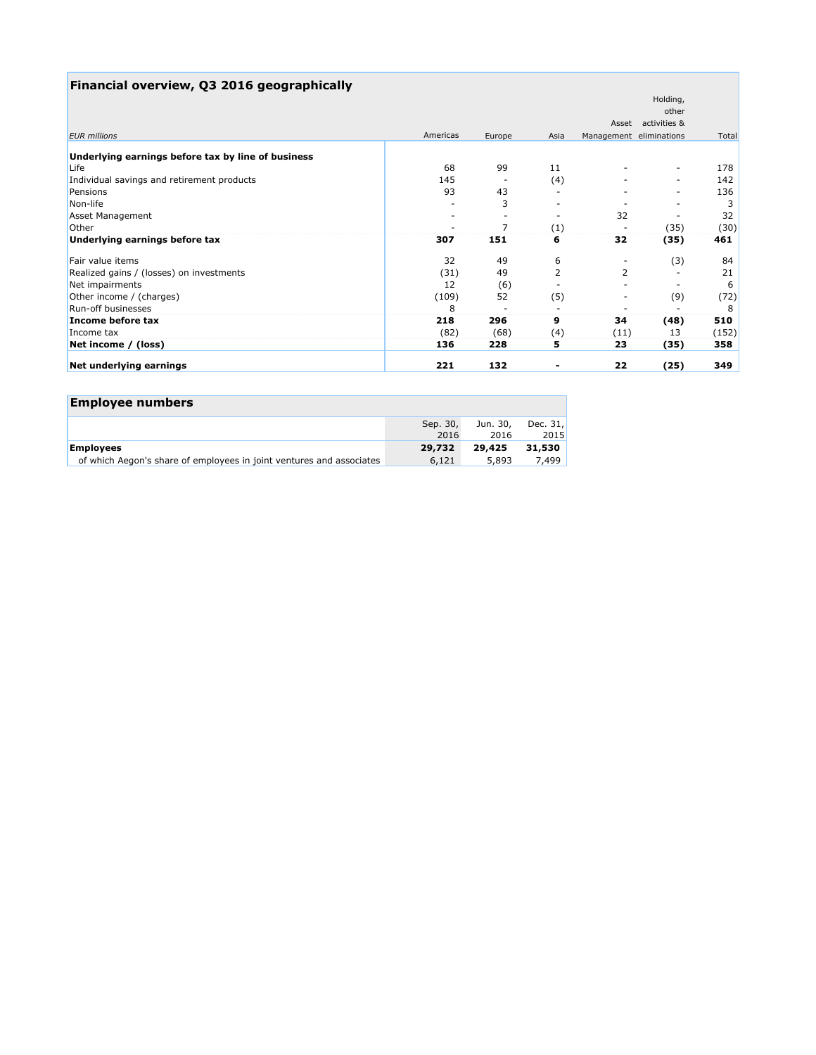| Financial overview, Q3 2016 geographically         |          |                          |                          |                          |                          |       |
|----------------------------------------------------|----------|--------------------------|--------------------------|--------------------------|--------------------------|-------|
|                                                    |          |                          |                          |                          | Holding,                 |       |
|                                                    |          |                          |                          |                          | other                    |       |
|                                                    |          |                          |                          | Asset                    | activities &             |       |
| <b>EUR</b> millions                                | Americas | Europe                   | Asia                     | Management eliminations  |                          | Total |
| Underlying earnings before tax by line of business |          |                          |                          |                          |                          |       |
| Life                                               | 68       | 99                       | 11                       |                          | $\overline{\phantom{a}}$ | 178   |
| Individual savings and retirement products         | 145      | $\overline{\phantom{a}}$ | (4)                      |                          | $\overline{\phantom{a}}$ | 142   |
| Pensions                                           | 93       | 43                       | $\overline{\phantom{0}}$ |                          |                          | 136   |
| Non-life                                           |          | 3                        |                          |                          |                          | 3     |
| Asset Management                                   |          | $\overline{\phantom{a}}$ | $\overline{\phantom{a}}$ | 32                       |                          | 32    |
| Other                                              |          | 7                        | (1)                      |                          | (35)                     | (30)  |
| Underlying earnings before tax                     | 307      | 151                      | 6                        | 32                       | (35)                     | 461   |
| Fair value items                                   | 32       | 49                       | 6                        | -                        | (3)                      | 84    |
| Realized gains / (losses) on investments           | (31)     | 49                       | 2                        | 2                        |                          | 21    |
| Net impairments                                    | 12       | (6)                      |                          | -                        |                          | 6     |
| Other income / (charges)                           | (109)    | 52                       | (5)                      | $\overline{\phantom{a}}$ | (9)                      | (72)  |
| Run-off businesses                                 | 8        |                          |                          |                          |                          | 8     |
| Income before tax                                  | 218      | 296                      | 9                        | 34                       | (48)                     | 510   |
| Income tax                                         | (82)     | (68)                     | (4)                      | (11)                     | 13                       | (152) |
| Net income / (loss)                                | 136      | 228                      | 5                        | 23                       | (35)                     | 358   |
| Net underlying earnings                            | 221      | 132                      |                          | 22                       | (25)                     | 349   |

| <b>Employee numbers</b>                                              |                  |                  |                  |
|----------------------------------------------------------------------|------------------|------------------|------------------|
|                                                                      | Sep. 30,<br>2016 | Jun. 30,<br>2016 | Dec. 31,<br>2015 |
| <b>Employees</b>                                                     | 29,732           | 29,425           | 31,530           |
| of which Aegon's share of employees in joint ventures and associates | 6,121            | 5,893            | 7.499            |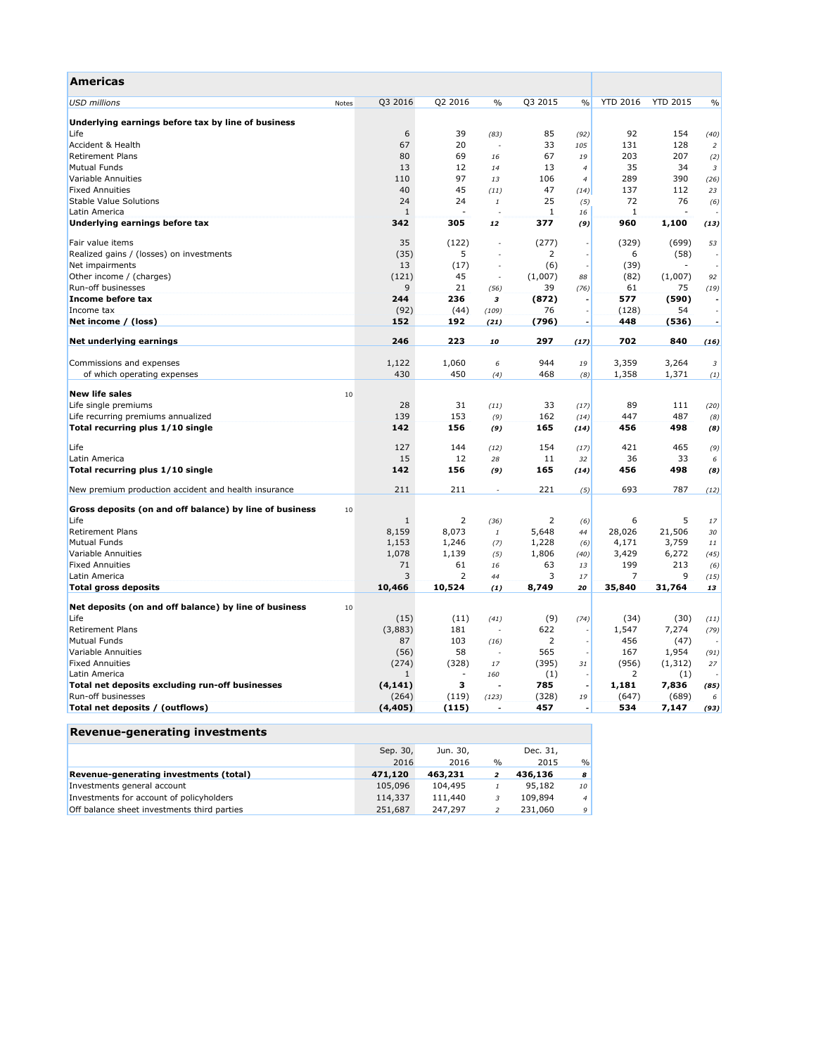| Americas                                                |       |              |                |                          |                |                          |                 |                 |                         |
|---------------------------------------------------------|-------|--------------|----------------|--------------------------|----------------|--------------------------|-----------------|-----------------|-------------------------|
| <b>USD</b> millions                                     | Notes | Q3 2016      | Q2 2016        | $\%$                     | Q3 2015        | $\frac{0}{0}$            | <b>YTD 2016</b> | <b>YTD 2015</b> | $\frac{0}{0}$           |
| Underlying earnings before tax by line of business      |       |              |                |                          |                |                          |                 |                 |                         |
| Life                                                    |       | 6            | 39             | (83)                     | 85             | (92)                     | 92              | 154             | (40)                    |
| Accident & Health                                       |       | 67           | 20             | ÷,                       | 33             | 105                      | 131             | 128             | $\overline{2}$          |
| <b>Retirement Plans</b>                                 |       | 80           | 69             | 16                       | 67             | 19                       | 203             | 207             | (2)                     |
| <b>Mutual Funds</b>                                     |       | 13           | 12             | 14                       | 13             | $\overline{4}$           | 35              | 34              | $\overline{\mathbf{3}}$ |
| Variable Annuities                                      |       | 110          | 97             | 13                       | 106            | $\overline{4}$           | 289             | 390             | (26)                    |
| <b>Fixed Annuities</b>                                  |       | 40           | 45             | (11)                     | 47             | (14)                     | 137             | 112             | 23                      |
| <b>Stable Value Solutions</b>                           |       | 24           | 24             | $\it 1$                  | 25             | (5)                      | 72              | 76              | (6)                     |
| Latin America                                           |       | 1            |                |                          | $\mathbf{1}$   | 16                       | 1               |                 |                         |
| Underlying earnings before tax                          |       | 342          | 305            | 12                       | 377            | (9)                      | 960             | 1,100           | (13)                    |
| Fair value items                                        |       | 35           | (122)          |                          | (277)          |                          | (329)           | (699)           | 53                      |
| Realized gains / (losses) on investments                |       | (35)         | 5              |                          | 2              |                          | 6               | (58)            |                         |
| Net impairments                                         |       | 13           | (17)           | $\overline{\phantom{a}}$ | (6)            |                          | (39)            |                 |                         |
| Other income / (charges)                                |       | (121)        | 45             | Ĭ.                       | (1,007)        | 88                       | (82)            | (1,007)         | 92                      |
| Run-off businesses                                      |       | 9            | 21             | (56)                     | 39             | (76)                     | 61              | 75              | (19)                    |
| Income before tax                                       |       | 244          | 236            | з                        | (872)          |                          | 577             | (590)           |                         |
| Income tax                                              |       | (92)         | (44)           | (109)                    | 76             |                          | (128)           | 54              |                         |
| Net income / (loss)                                     |       | 152          | 192            | (21)                     | (796)          | $\overline{\phantom{a}}$ | 448             | (536)           | $\tilde{\phantom{a}}$   |
| Net underlying earnings                                 |       | 246          | 223            | 10                       | 297            | (17)                     | 702             | 840             | (16)                    |
| Commissions and expenses                                |       | 1,122        | 1,060          | 6                        | 944            | 19                       | 3,359           | 3,264           | $\boldsymbol{\beta}$    |
| of which operating expenses                             |       | 430          | 450            | (4)                      | 468            | (8)                      | 1,358           | 1,371           | (1)                     |
|                                                         |       |              |                |                          |                |                          |                 |                 |                         |
| <b>New life sales</b>                                   | 10    |              |                |                          |                |                          |                 |                 |                         |
| Life single premiums                                    |       | 28           | 31             | (11)                     | 33             | (17)                     | 89              | 111             | (20)                    |
| Life recurring premiums annualized                      |       | 139          | 153            | (9)                      | 162            | (14)                     | 447             | 487             | (8)                     |
| Total recurring plus 1/10 single                        |       | 142          | 156            | (9)                      | 165            | (14)                     | 456             | 498             | (8)                     |
| Life                                                    |       | 127          | 144            | (12)                     | 154            | (17)                     | 421             | 465             | (9)                     |
| Latin America                                           |       | 15           | 12             | 28                       | 11             | 32                       | 36              | 33              | 6                       |
| Total recurring plus 1/10 single                        |       | 142          | 156            | (9)                      | 165            | (14)                     | 456             | 498             | (8)                     |
| New premium production accident and health insurance    |       | 211          | 211            | ÷.                       | 221            | (5)                      | 693             | 787             | (12)                    |
| Gross deposits (on and off balance) by line of business | 10    |              |                |                          |                |                          |                 |                 |                         |
| Life                                                    |       | 1            | 2              | (36)                     | 2              | (6)                      | 6               | 5               | 17                      |
| <b>Retirement Plans</b>                                 |       | 8,159        | 8,073          | $\it 1$                  | 5,648          | 44                       | 28,026          | 21,506          | 30                      |
| <b>Mutual Funds</b>                                     |       | 1,153        | 1,246          | (7)                      | 1,228          | (6)                      | 4,171           | 3,759           | $11\,$                  |
| Variable Annuities                                      |       | 1,078        | 1,139          | (5)                      | 1,806          | (40)                     | 3,429           | 6,272           | (45)                    |
| <b>Fixed Annuities</b>                                  |       | 71           | 61             | 16                       | 63             | 13                       | 199             | 213             | (6)                     |
| Latin America                                           |       | 3            | $\overline{2}$ | 44                       | 3              | 17                       | $\overline{7}$  | 9               | (15)                    |
| <b>Total gross deposits</b>                             |       | 10,466       | 10,524         | (1)                      | 8,749          | 20                       | 35,840          | 31,764          | 13                      |
| Net deposits (on and off balance) by line of business   | 10    |              |                |                          |                |                          |                 |                 |                         |
| Life                                                    |       | (15)         | (11)           | (41)                     | (9)            | (74)                     | (34)            | (30)            | (11)                    |
| <b>Retirement Plans</b>                                 |       | (3,883)      | 181            | $\overline{\phantom{a}}$ | 622            |                          | 1,547           | 7,274           | (79)                    |
| <b>Mutual Funds</b>                                     |       | 87           | 103            | (16)                     | $\overline{2}$ |                          | 456             | (47)            |                         |
| Variable Annuities                                      |       | (56)         | 58             | J,                       | 565            |                          | 167             | 1,954           | (91)                    |
| <b>Fixed Annuities</b>                                  |       | (274)        | (328)          | 17                       | (395)          | 31                       | (956)           | (1, 312)        | 27                      |
| Latin America                                           |       | $\mathbf{1}$ | $\sim$         | 160                      | (1)            |                          | 2               | (1)             |                         |
| Total net deposits excluding run-off businesses         |       | (4, 141)     | з              | ÷.                       | 785            |                          | 1,181           | 7,836           | (85)                    |
| Run-off businesses                                      |       | (264)        | (119)          | (123)                    | (328)          | 19                       | (647)           | (689)           | 6                       |
| Total net deposits / (outflows)                         |       | (4, 405)     | (115)          |                          | 457            |                          | 534             | 7,147           | (93)                    |
|                                                         |       |              |                |                          |                |                          |                 |                 |                         |

# **Revenue-generating investments**

|                                             | Sep. 30, | Jun. 30, |               | Dec. 31, |                |
|---------------------------------------------|----------|----------|---------------|----------|----------------|
|                                             | 2016     | 2016     | $\frac{0}{0}$ | 2015     | $\frac{0}{0}$  |
| Revenue-generating investments (total)      | 471,120  | 463,231  |               | 436,136  | 8              |
| Investments general account                 | 105,096  | 104,495  |               | 95,182   | 10             |
| Investments for account of policyholders    | 114,337  | 111,440  |               | 109,894  | $\overline{4}$ |
| Off balance sheet investments third parties | 251,687  | 247.297  |               | 231,060  | 9              |
|                                             |          |          |               |          |                |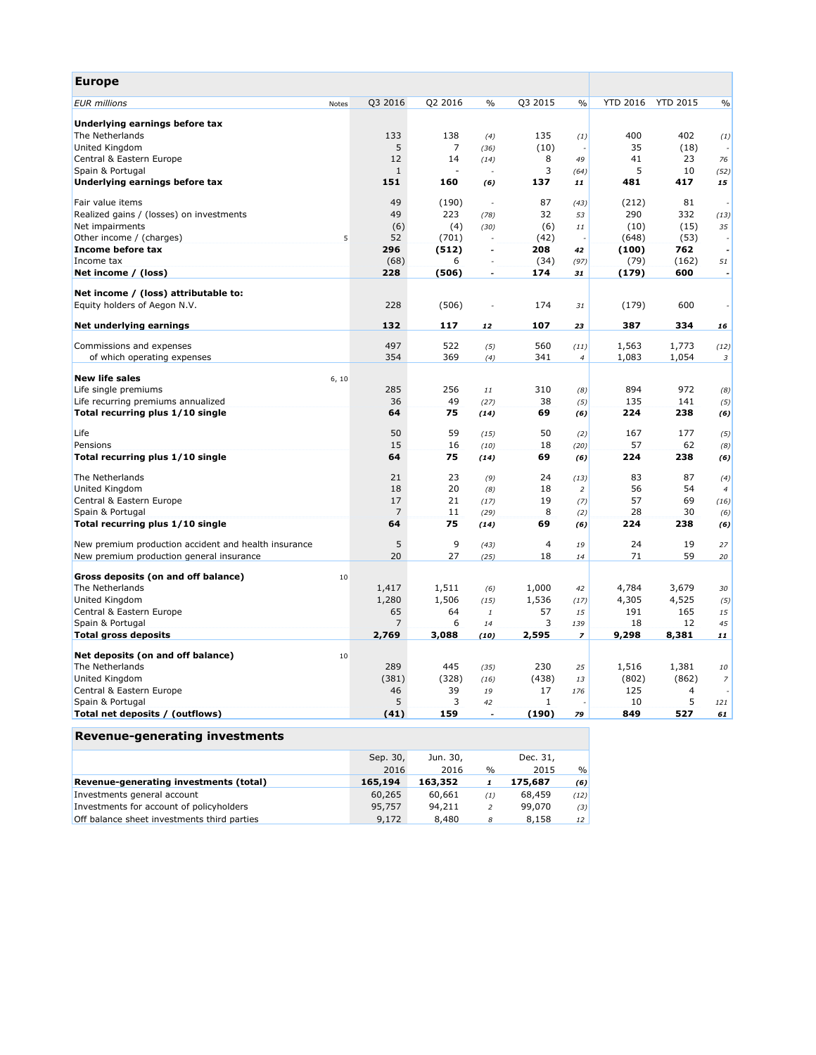| <b>Europe</b>                                        |                |         |                |                |                          |                 |                 |                |
|------------------------------------------------------|----------------|---------|----------------|----------------|--------------------------|-----------------|-----------------|----------------|
| <b>EUR</b> millions<br>Notes                         | Q3 2016        | Q2 2016 | $\frac{0}{0}$  | Q3 2015        | $\frac{0}{0}$            | <b>YTD 2016</b> | <b>YTD 2015</b> | $\frac{0}{0}$  |
| Underlying earnings before tax                       |                |         |                |                |                          |                 |                 |                |
| The Netherlands                                      | 133            | 138     | (4)            | 135            | (1)                      | 400             | 402             | (1)            |
| United Kingdom                                       | 5              | 7       | (36)           | (10)           |                          | 35              | (18)            |                |
| Central & Eastern Europe                             | 12             | 14      | (14)           | 8              | 49                       | 41              | 23              | 76             |
| Spain & Portugal                                     | $1\,$          |         | $\sim$         | 3              | (64)                     | 5               | 10              | (52)           |
| Underlying earnings before tax                       | 151            | 160     | (6)            | 137            | 11                       | 481             | 417             | 15             |
| Fair value items                                     | 49             | (190)   | ÷,             | 87             | (43)                     | (212)           | 81              |                |
| Realized gains / (losses) on investments             | 49             | 223     | (78)           | 32             | 53                       | 290             | 332             | (13)           |
| Net impairments                                      | (6)            | (4)     | (30)           | (6)            | 11                       | (10)            | (15)            | 35             |
| Other income / (charges)                             | 52<br>5        | (701)   | $\sim$         | (42)           |                          | (648)           | (53)            |                |
| Income before tax                                    | 296            | (512)   | $\overline{a}$ | 208            | 42                       | (100)           | 762             | $\overline{a}$ |
| Income tax                                           | (68)           | 6       |                | (34)           | (97)                     | (79)            | (162)           | 51             |
| Net income / (loss)                                  | 228            | (506)   | ٠              | 174            | 31                       | (179)           | 600             |                |
| Net income / (loss) attributable to:                 |                |         |                |                |                          |                 |                 |                |
| Equity holders of Aegon N.V.                         | 228            | (506)   |                | 174            | 31                       | (179)           | 600             |                |
| Net underlying earnings                              | 132            | 117     | 12             | 107            | 23                       | 387             | 334             | 16             |
| Commissions and expenses                             | 497            | 522     |                | 560            |                          | 1,563           | 1,773           |                |
| of which operating expenses                          | 354            | 369     | (5)            | 341            | (11)<br>$\overline{4}$   | 1,083           | 1,054           | (12)<br>3      |
|                                                      |                |         | (4)            |                |                          |                 |                 |                |
| <b>New life sales</b><br>6, 10                       |                |         |                |                |                          |                 |                 |                |
| Life single premiums                                 | 285            | 256     | 11             | 310            | (8)                      | 894             | 972             | (8)            |
| Life recurring premiums annualized                   | 36             | 49      | (27)           | 38             | (5)                      | 135             | 141             | (5)            |
| Total recurring plus 1/10 single                     | 64             | 75      | (14)           | 69             | (6)                      | 224             | 238             | (6)            |
| Life                                                 | 50             | 59      | (15)           | 50             | (2)                      | 167             | 177             | (5)            |
| Pensions                                             | 15             | 16      | (10)           | 18             | (20)                     | 57              | 62              | (8)            |
| Total recurring plus 1/10 single                     | 64             | 75      | (14)           | 69             | (6)                      | 224             | 238             | (6)            |
| The Netherlands                                      | 21             | 23      | (9)            | 24             | (13)                     | 83              | 87              | (4)            |
| United Kingdom                                       | 18             | 20      | (8)            | 18             | $\overline{2}$           | 56              | 54              | $\overline{4}$ |
| Central & Eastern Europe                             | 17             | 21      | (17)           | 19             | (7)                      | 57              | 69              | (16)           |
| Spain & Portugal                                     | $\overline{7}$ | 11      | (29)           | 8              | (2)                      | 28              | 30              | (6)            |
| Total recurring plus 1/10 single                     | 64             | 75      | (14)           | 69             | (6)                      | 224             | 238             | (6)            |
| New premium production accident and health insurance | 5              | 9       | (43)           | $\overline{4}$ | 19                       | 24              | 19              | 27             |
| New premium production general insurance             | 20             | 27      | (25)           | 18             | 14                       | 71              | 59              | 20             |
| Gross deposits (on and off balance)<br>10            |                |         |                |                |                          |                 |                 |                |
| The Netherlands                                      | 1,417          | 1,511   | (6)            | 1,000          | 42                       | 4,784           | 3,679           | 30             |
| United Kingdom                                       | 1,280          | 1,506   | (15)           | 1,536          | (17)                     | 4,305           | 4,525           | (5)            |
| Central & Eastern Europe                             | 65             | 64      | $\it 1$        | 57             | 15                       | 191             | 165             | 15             |
| Spain & Portugal                                     | 7              | 6       | 14             | 3              | 139                      | 18              | 12              | 45             |
| <b>Total gross deposits</b>                          | 2,769          | 3,088   | (10)           | 2,595          | $\overline{\phantom{a}}$ | 9,298           | 8,381           | 11             |
| Net deposits (on and off balance)<br>10              |                |         |                |                |                          |                 |                 |                |
| The Netherlands                                      | 289            | 445     | (35)           | 230            | 25                       | 1,516           | 1,381           | 10             |
| United Kingdom                                       | (381)          | (328)   | (16)           | (438)          | 13                       | (802)           | (862)           | $\overline{z}$ |
| Central & Eastern Europe                             | 46             | 39      | 19             | 17             | 176                      | 125             | 4               |                |
| Spain & Portugal                                     | 5              | 3       | 42             | $\mathbf{1}$   |                          | 10              | 5               | 121            |
| Total net deposits / (outflows)                      | (41)           | 159     | $\overline{a}$ | (190)          | 79                       | 849             | 527             | 61             |
|                                                      |                |         |                |                |                          |                 |                 |                |

# **Revenue-generating investments**

|                                             | Sep. 30, | Jun. 30, |               | Dec. 31, |      |
|---------------------------------------------|----------|----------|---------------|----------|------|
|                                             | 2016     | 2016     | $\frac{0}{0}$ | 2015     | $\%$ |
| Revenue-generating investments (total)      | 165,194  | 163,352  |               | 175,687  | (6)  |
| Investments general account                 | 60,265   | 60,661   | (1)           | 68,459   | (12) |
| Investments for account of policyholders    | 95,757   | 94,211   | 2             | 99,070   | (3)  |
| Off balance sheet investments third parties | 9,172    | 8,480    | 8             | 8,158    | 12   |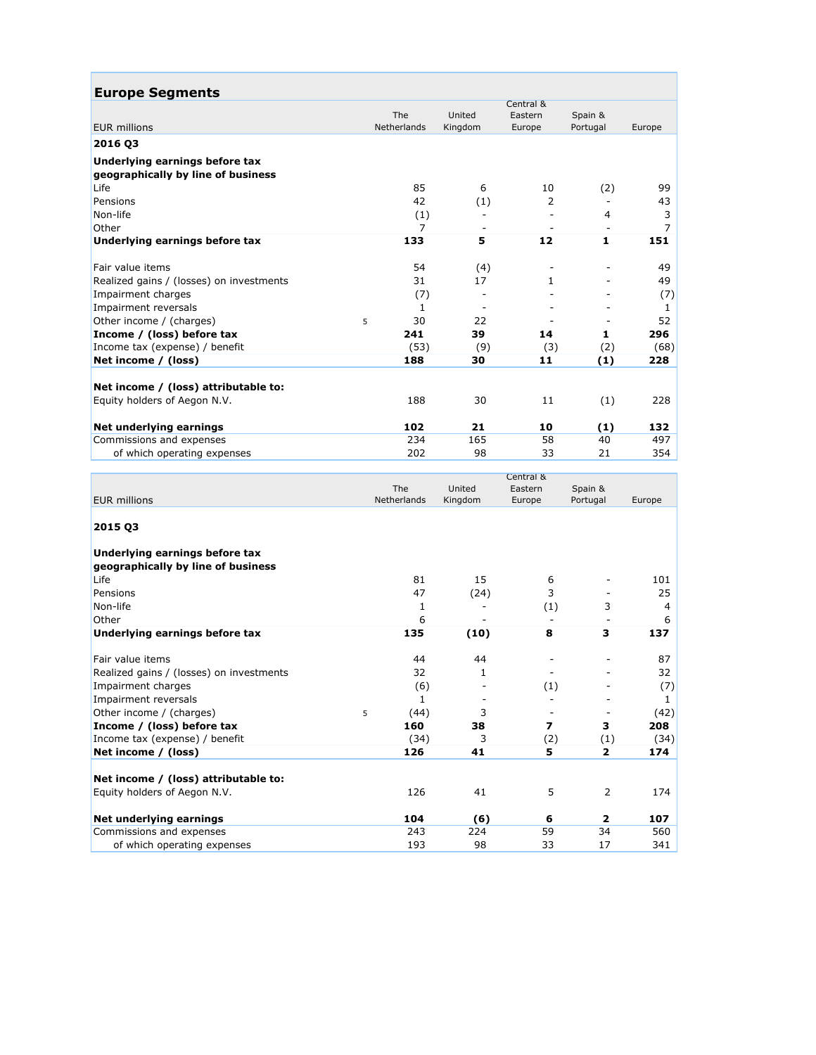| <b>Europe Segments</b>                   |   |                    |         |              |          |              |  |
|------------------------------------------|---|--------------------|---------|--------------|----------|--------------|--|
|                                          |   |                    |         | Central &    |          |              |  |
|                                          |   | The                | United  | Eastern      | Spain &  |              |  |
| <b>EUR</b> millions                      |   | <b>Netherlands</b> | Kingdom | Europe       | Portugal | Europe       |  |
| 2016 03                                  |   |                    |         |              |          |              |  |
| Underlying earnings before tax           |   |                    |         |              |          |              |  |
| geographically by line of business       |   |                    |         |              |          |              |  |
| Life                                     |   | 85                 | 6       | 10           | (2)      | 99           |  |
| Pensions                                 |   | 42                 | (1)     | 2            |          | 43           |  |
| Non-life                                 |   | (1)                |         |              | 4        | 3            |  |
| Other                                    |   | 7                  |         |              |          | 7            |  |
| Underlying earnings before tax           |   | 133                | 5       | $12$         | 1        | 151          |  |
| Fair value items                         |   | 54                 | (4)     |              |          | 49           |  |
| Realized gains / (losses) on investments |   | 31                 | 17      | $\mathbf{1}$ |          | 49           |  |
| Impairment charges                       |   | (7)                |         |              |          | (7)          |  |
| Impairment reversals                     |   | $\mathbf{1}$       |         |              |          | $\mathbf{1}$ |  |
| Other income / (charges)                 | 5 | 30                 | 22      |              |          | 52           |  |
| Income / (loss) before tax               |   | 241                | 39      | 14           | 1        | 296          |  |
| Income tax (expense) / benefit           |   | (53)               | (9)     | (3)          | (2)      | (68)         |  |
| Net income / (loss)                      |   | 188                | 30      | 11           | (1)      | 228          |  |
| Net income / (loss) attributable to:     |   |                    |         |              |          |              |  |
| Equity holders of Aegon N.V.             |   | 188                | 30      | 11           | (1)      | 228          |  |
| Net underlying earnings                  |   | 102                | 21      | 10           | (1)      | 132          |  |
| Commissions and expenses                 |   | 234                | 165     | 58           | 40       | 497          |  |
| of which operating expenses              |   | 202                | 98      | 33           | 21       | 354          |  |
|                                          |   |                    |         | Central &    |          |              |  |

| <b>EUR</b> millions                      | The<br>Netherlands | United<br>Kingdom        | cenuar ox<br>Eastern<br>Europe | Spain &<br>Portugal      | Europe |
|------------------------------------------|--------------------|--------------------------|--------------------------------|--------------------------|--------|
|                                          |                    |                          |                                |                          |        |
| 2015 03                                  |                    |                          |                                |                          |        |
| Underlying earnings before tax           |                    |                          |                                |                          |        |
| geographically by line of business       |                    |                          |                                |                          |        |
| Life                                     | 81                 | 15                       | 6                              |                          | 101    |
| Pensions                                 | 47                 | (24)                     | 3                              |                          | 25     |
| Non-life                                 | 1                  |                          | (1)                            | 3                        | 4      |
| Other                                    | 6                  | $\overline{\phantom{a}}$ |                                | $\overline{\phantom{a}}$ | 6      |
| Underlying earnings before tax           | 135                | (10)                     | 8                              | 3                        | 137    |
| Fair value items                         | 44                 | 44                       |                                |                          | 87     |
| Realized gains / (losses) on investments | 32                 | 1                        |                                |                          | 32     |
| Impairment charges                       | (6)                |                          | (1)                            |                          | (7)    |
| Impairment reversals                     | $\mathbf{1}$       |                          |                                |                          | 1      |
| Other income / (charges)                 | (44)<br>5          | 3                        |                                |                          | (42)   |
| Income / (loss) before tax               | 160                | 38                       | $\overline{ }$                 | 3                        | 208    |
| Income tax (expense) / benefit           | (34)               | 3                        | (2)                            | (1)                      | (34)   |
| Net income / (loss)                      | 126                | 41                       | 5                              | 2                        | 174    |
| Net income / (loss) attributable to:     |                    |                          |                                |                          |        |
| Equity holders of Aegon N.V.             | 126                | 41                       | 5                              | $\overline{2}$           | 174    |
| Net underlying earnings                  | 104                | (6)                      | 6                              | $\overline{2}$           | 107    |
| Commissions and expenses                 | 243                | 224                      | 59                             | 34                       | 560    |
| of which operating expenses              | 193                | 98                       | 33                             | 17                       | 341    |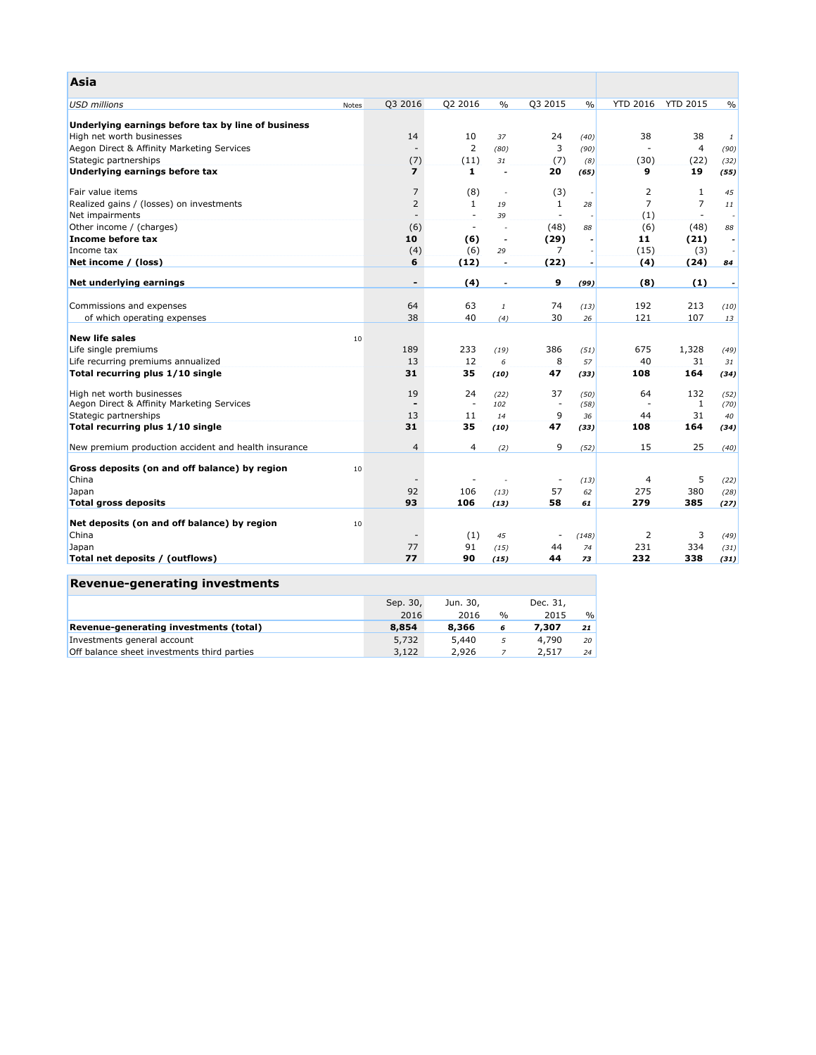| Asia                                                 |       |                          |                          |                          |                          |                          |                 |                          |               |
|------------------------------------------------------|-------|--------------------------|--------------------------|--------------------------|--------------------------|--------------------------|-----------------|--------------------------|---------------|
| <b>USD millions</b>                                  | Notes | Q3 2016                  | Q2 2016                  | $\frac{0}{0}$            | Q3 2015                  | $\frac{0}{0}$            | <b>YTD 2016</b> | <b>YTD 2015</b>          | $\frac{0}{0}$ |
| Underlying earnings before tax by line of business   |       |                          |                          |                          |                          |                          |                 |                          |               |
| High net worth businesses                            |       | 14                       | 10                       | 37                       | 24                       | (40)                     | 38              | 38                       | 1             |
| Aegon Direct & Affinity Marketing Services           |       |                          | $\overline{2}$           | (80)                     | 3                        | (90)                     |                 | 4                        | (90)          |
| Stategic partnerships                                |       | (7)                      | (11)                     | 31                       | (7)                      | (8)                      | (30)            | (22)                     | (32)          |
| Underlying earnings before tax                       |       | $\overline{\mathbf{z}}$  | 1                        | $\overline{\phantom{a}}$ | 20                       | (65)                     | 9               | 19                       | (55)          |
| Fair value items                                     |       | $\overline{7}$           | (8)                      | $\overline{\phantom{a}}$ | (3)                      |                          | 2               | $\mathbf{1}$             | 45            |
| Realized gains / (losses) on investments             |       | 2                        | $\mathbf{1}$             | 19                       | 1                        | 28                       | $\overline{7}$  | $\overline{7}$           | 11            |
| Net impairments                                      |       | $\overline{\phantom{a}}$ | $\overline{\phantom{a}}$ | 39                       | $\overline{\phantom{a}}$ |                          | (1)             | $\overline{\phantom{a}}$ |               |
| Other income / (charges)                             |       | (6)                      | $\sim$                   | ÷,                       | (48)                     | 88                       | (6)             | (48)                     | 88            |
| Income before tax                                    |       | 10                       | (6)                      | $\overline{\phantom{a}}$ | (29)                     | ٠                        | 11              | (21)                     | ٠             |
| Income tax                                           |       | (4)                      | (6)                      | 29                       | $\overline{7}$           |                          | (15)            | (3)                      |               |
| Net income / (loss)                                  |       | 6                        | (12)                     | $\overline{\phantom{a}}$ | (22)                     | $\overline{\phantom{a}}$ | (4)             | (24)                     | 84            |
| Net underlying earnings                              |       | $\overline{\phantom{a}}$ | (4)                      | $\overline{\phantom{a}}$ | 9                        | (99)                     | (8)             | (1)                      |               |
|                                                      |       |                          |                          |                          |                          |                          |                 |                          |               |
| Commissions and expenses                             |       | 64                       | 63                       | $\it 1$                  | 74                       | (13)                     | 192             | 213                      | (10)          |
| of which operating expenses                          |       | 38                       | 40                       | (4)                      | 30                       | 26                       | 121             | 107                      | 13            |
| <b>New life sales</b>                                | 10    |                          |                          |                          |                          |                          |                 |                          |               |
| Life single premiums                                 |       | 189                      | 233                      | (19)                     | 386                      | (51)                     | 675             | 1,328                    | (49)          |
| Life recurring premiums annualized                   |       | 13                       | 12                       | 6                        | 8                        | 57                       | 40              | 31                       | 31            |
| Total recurring plus 1/10 single                     |       | 31                       | 35                       | (10)                     | 47                       | (33)                     | 108             | 164                      | (34)          |
| High net worth businesses                            |       | 19                       | 24                       | (22)                     | 37                       | (50)                     | 64              | 132                      | (52)          |
| Aegon Direct & Affinity Marketing Services           |       |                          | $\sim$                   | 102                      | $\overline{\phantom{a}}$ | (58)                     |                 | 1                        | (70)          |
| Stategic partnerships                                |       | 13                       | 11                       | 14                       | 9                        | 36                       | 44              | 31                       | 40            |
| Total recurring plus 1/10 single                     |       | 31                       | 35                       | (10)                     | 47                       | (33)                     | 108             | 164                      | (34)          |
| New premium production accident and health insurance |       | $\overline{4}$           | $\overline{4}$           | (2)                      | 9                        | (52)                     | 15              | 25                       | (40)          |
| Gross deposits (on and off balance) by region        | 10    |                          |                          |                          |                          |                          |                 |                          |               |
| China                                                |       |                          |                          |                          | $\overline{\phantom{a}}$ | (13)                     | 4               | 5                        | (22)          |
| Japan                                                |       | 92                       | 106                      | (13)                     | 57                       | 62                       | 275             | 380                      | (28)          |
| <b>Total gross deposits</b>                          |       | 93                       | 106                      | (13)                     | 58                       | 61                       | 279             | 385                      | (27)          |
|                                                      |       |                          |                          |                          |                          |                          |                 |                          |               |
| Net deposits (on and off balance) by region          | 10    |                          |                          |                          |                          |                          |                 |                          |               |
| China                                                |       |                          | (1)                      | 45                       | $\overline{\phantom{a}}$ | (148)                    | 2               | 3                        | (49)          |
| Japan                                                |       | 77                       | 91                       | (15)                     | 44                       | 74                       | 231             | 334                      | (31)          |
| Total net deposits / (outflows)                      |       | 77                       | 90                       | (15)                     | 44                       | 73                       | 232             | 338                      | (31)          |

| Revenue-generating investments              |          |          |      |          |      |
|---------------------------------------------|----------|----------|------|----------|------|
|                                             | Sep. 30, | Jun. 30, |      | Dec. 31, |      |
|                                             | 2016     | 2016     | $\%$ | 2015     | $\%$ |
| Revenue-generating investments (total)      | 8,854    | 8,366    | 6    | 7.307    | 21   |
| Investments general account                 | 5,732    | 5,440    | 5    | 4,790    | 20   |
| Off balance sheet investments third parties | 3,122    | 2,926    |      | 2,517    | 24   |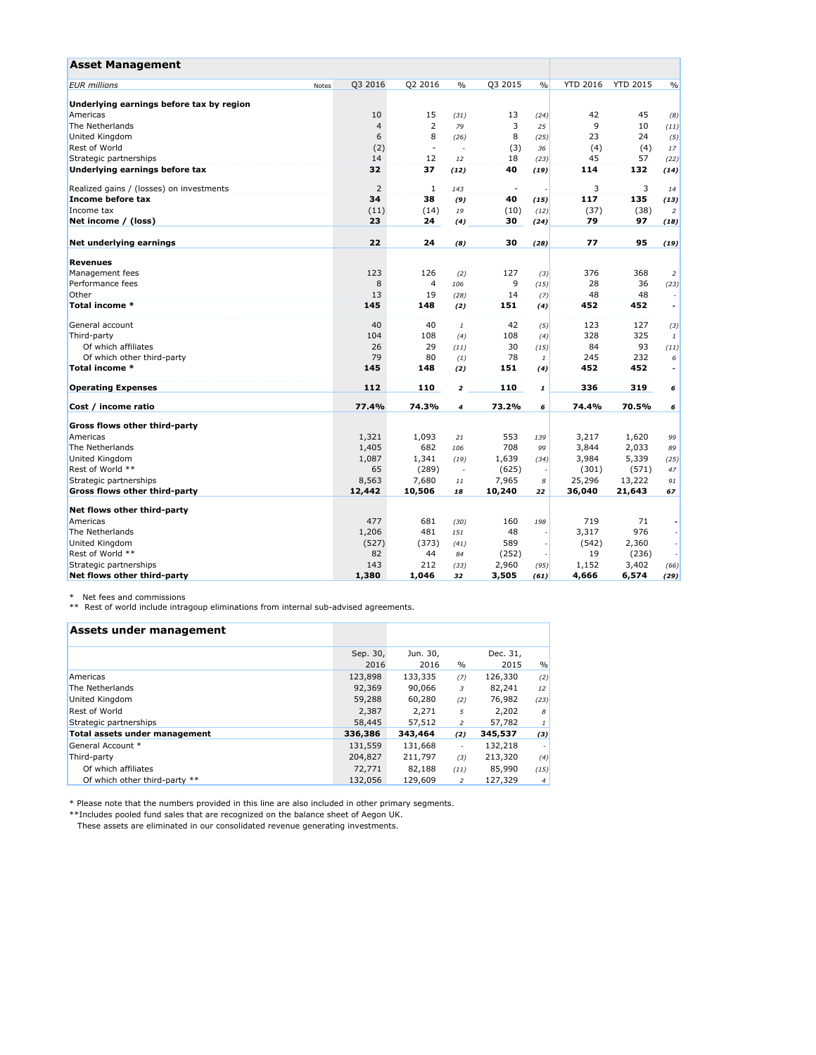| <b>Asset Management</b>                  |                  |                          |                         |         |                    |                 |                 |                          |
|------------------------------------------|------------------|--------------------------|-------------------------|---------|--------------------|-----------------|-----------------|--------------------------|
| <b>EUR</b> millions                      | Q3 2016<br>Notes | Q2 2016                  | $\frac{0}{0}$           | Q3 2015 | $\frac{0}{0}$      | <b>YTD 2016</b> | <b>YTD 2015</b> | $\frac{0}{0}$            |
| Underlying earnings before tax by region |                  |                          |                         |         |                    |                 |                 |                          |
| Americas                                 | 10               | 15                       | (31)                    | 13      | (24)               | 42              | 45              | (8)                      |
| The Netherlands                          | $\overline{a}$   | $\overline{2}$           | 79                      | 3       | 25                 | 9               | 10              | (11)                     |
| United Kingdom                           | 6                | 8                        | (26)                    | 8       | (25)               | 23              | 24              | (5)                      |
| Rest of World                            | (2)              | $\overline{\phantom{a}}$ |                         | (3)     | 36                 | (4)             | (4)             | 17                       |
| Strategic partnerships                   | 14               | 12                       | 12                      | 18      | (23)               | 45              | 57              | (22)                     |
| Underlying earnings before tax           | 32               | 37                       | (12)                    | 40      | (19)               | 114             | 132             | (14)                     |
| Realized gains / (losses) on investments | $\overline{2}$   | $\mathbf{1}$             | 143                     | $\sim$  |                    | 3               | 3               | 14                       |
| Income before tax                        | 34               | 38                       | (9)                     | 40      | (15)               | 117             | 135             | (13)                     |
| Income tax                               | (11)             | (14)                     | 19                      | (10)    | (12)               | (37)            | (38)            | 2                        |
| Net income / (loss)                      | 23               | 24                       | (4)                     | 30      | (24)               | 79              | 97              | (18)                     |
| Net underlying earnings                  | 22               | 24                       | (8)                     | 30      | (28)               | 77              | 95              | (19)                     |
| Revenues                                 |                  |                          |                         |         |                    |                 |                 |                          |
| Management fees                          | 123              | 126                      | (2)                     | 127     | (3)                | 376             | 368             | $\overline{2}$           |
| Performance fees                         | 8                | $\overline{4}$           | 106                     | 9       | (15)               | 28              | 36              | (23)                     |
| Other                                    | 13               | 19                       | (28)                    | 14      | (7)                | 48              | 48              |                          |
| Total income *                           | 145              | 148                      | (2)                     | 151     | (4)                | 452             | 452             | $\overline{\phantom{a}}$ |
| General account                          | 40               | 40                       | 1                       | 42      | (5)                | 123             | 127             | (3)                      |
| Third-party                              | 104              | 108                      | (4)                     | 108     | (4)                | 328             | 325             | 1                        |
| Of which affiliates                      | 26               | 29                       | (11)                    | 30      | (15)               | 84              | 93              | (11)                     |
| Of which other third-party               | 79               | 80                       | (1)                     | 78      | $\it 1$            | 245             | 232             | 6                        |
| Total income *                           | 145              | 148                      | (2)                     | 151     | (4)                | 452             | 452             | $\overline{\phantom{a}}$ |
| <b>Operating Expenses</b>                | 112              | 110                      | $\overline{\mathbf{z}}$ | 110     | $\pmb{\mathit{1}}$ | 336             | 319             | 6                        |
| Cost / income ratio                      | 77.4%            | 74.3%                    | $\overline{4}$          | 73.2%   | 6                  | 74.4%           | 70.5%           | 6                        |
| Gross flows other third-party            |                  |                          |                         |         |                    |                 |                 |                          |
| Americas                                 | 1,321            | 1,093                    | 21                      | 553     | 139                | 3,217           | 1,620           | 99                       |
| The Netherlands                          | 1,405            | 682                      | 106                     | 708     | 99                 | 3,844           | 2,033           | 89                       |
| United Kingdom                           | 1,087            | 1,341                    | (19)                    | 1,639   | (34)               | 3,984           | 5,339           | (25)                     |
| Rest of World **                         | 65               | (289)                    | ä,                      | (625)   |                    | (301)           | (571)           | 47                       |
| Strategic partnerships                   | 8,563            | 7,680                    | $1\,1$                  | 7,965   | 8                  | 25,296          | 13,222          | 91                       |
| Gross flows other third-party            | 12,442           | 10,506                   | 18                      | 10,240  | 22                 | 36,040          | 21,643          | 67                       |
| Net flows other third-party              |                  |                          |                         |         |                    |                 |                 |                          |
| Americas                                 | 477              | 681                      | (30)                    | 160     | 198                | 719             | 71              |                          |
| The Netherlands                          | 1,206            | 481                      | 151                     | 48      |                    | 3,317           | 976             |                          |
| United Kingdom                           | (527)            | (373)                    | (41)                    | 589     |                    | (542)           | 2,360           |                          |
| Rest of World **                         | 82               | 44                       | 84                      | (252)   |                    | 19              | (236)           |                          |
| Strategic partnerships                   | 143              | 212                      | (33)                    | 2,960   | (95)               | 1,152           | 3,402           | (66)                     |
| Net flows other third-party              | 1,380            | 1,046                    | 32                      | 3,505   | (61)               | 4,666           | 6,574           | (29)                     |

\* Net fees and commissions \*\* Rest of world include intragoup eliminations from internal sub-advised agreements.

| Assets under management              |          |          |                |          |                |
|--------------------------------------|----------|----------|----------------|----------|----------------|
|                                      | Sep. 30, | Jun. 30, |                | Dec. 31, |                |
|                                      | 2016     | 2016     | $\%$           | 2015     | %              |
| Americas                             | 123,898  | 133,335  | (7)            | 126,330  | (2)            |
| The Netherlands                      | 92,369   | 90,066   | 3              | 82,241   | 12             |
| United Kingdom                       | 59,288   | 60,280   | (2)            | 76,982   | (23)           |
| Rest of World                        | 2,387    | 2,271    | 5              | 2,202    | 8              |
| Strategic partnerships               | 58,445   | 57,512   | 2              | 57,782   | 1 <sup>1</sup> |
| <b>Total assets under management</b> | 336,386  | 343,464  | (2)            | 345,537  | (3)            |
| General Account *                    | 131,559  | 131,668  | ٠              | 132,218  |                |
| Third-party                          | 204,827  | 211,797  | (3)            | 213,320  | (4)            |
| Of which affiliates                  | 72,771   | 82,188   | (11)           | 85,990   | (15)           |
| Of which other third-party **        | 132,056  | 129,609  | $\overline{c}$ | 127,329  | 4 <sup>1</sup> |

\* Please note that the numbers provided in this line are also included in other primary segments.

\*\*Includes pooled fund sales that are recognized on the balance sheet of Aegon UK.

These assets are eliminated in our consolidated revenue generating investments.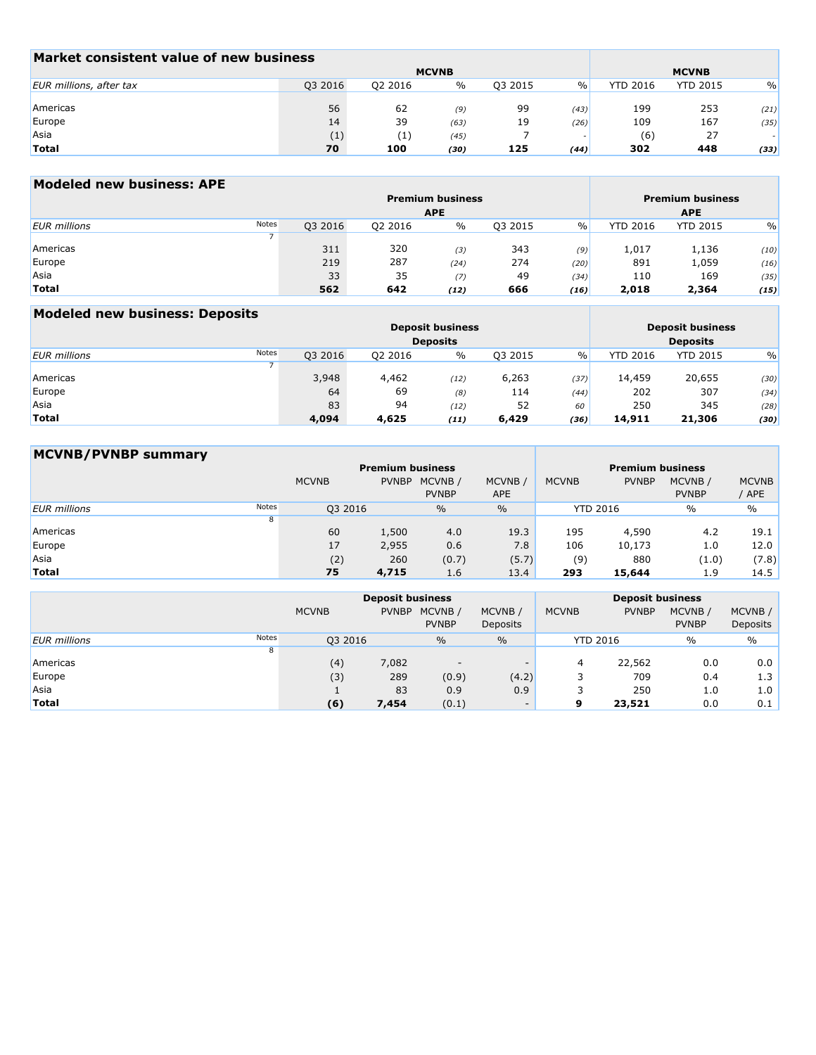| Market consistent value of new business |         |              |               |              |      |                 |                 |               |
|-----------------------------------------|---------|--------------|---------------|--------------|------|-----------------|-----------------|---------------|
|                                         |         | <b>MCVNB</b> |               | <b>MCVNB</b> |      |                 |                 |               |
| EUR millions, after tax                 | Q3 2016 | 02 2016      | $\frac{0}{0}$ | 03 2015      | $\%$ | <b>YTD 2016</b> | <b>YTD 2015</b> | $\frac{0}{0}$ |
|                                         |         |              |               |              |      |                 |                 |               |
| Americas                                | 56      | 62           | (9)           | 99           | (43) | 199             | 253             | (21)          |
| Europe                                  | 14      | 39           | (63)          | 19           | (26) | 109             | 167             | (35)          |
| Asia                                    | (1)     | (1)          | (45)          |              |      | (6)             | 27              |               |
| <b>Total</b>                            | 70      | 100          | (30)          | 125          | (44) | 302             | 448             | (33)          |

# **Modeled new business: APE**

|                     |       |         | <b>Premium business</b><br><b>APE</b> | <b>Premium business</b><br><b>APE</b> |         |      |                 |                 |               |
|---------------------|-------|---------|---------------------------------------|---------------------------------------|---------|------|-----------------|-----------------|---------------|
| <b>EUR</b> millions | Notes | Q3 2016 | Q2 2016                               | $\%$                                  | Q3 2015 | $\%$ | <b>YTD 2016</b> | <b>YTD 2015</b> | $\frac{0}{0}$ |
|                     |       |         |                                       |                                       |         |      |                 |                 |               |
| Americas            |       | 311     | 320                                   | (3)                                   | 343     | (9)  | 1,017           | 1,136           | (10)          |
| Europe              |       | 219     | 287                                   | (24)                                  | 274     | (20) | 891             | 1,059           | (16)          |
| Asia                |       | 33      | 35                                    | (7)                                   | 49      | (34) | 110             | 169             | (35)          |
| <b>Total</b>        |       | 562     | 642                                   | (12)                                  | 666     | (16) | 2,018           | 2,364           | (15)          |

 $\sim$ 

# **Modeled new business: Deposits**

|                     |       |         | <b>Deposit business</b><br><b>Deposits</b> |      | <b>Deposit business</b><br><b>Deposits</b> |      |                 |                 |               |  |
|---------------------|-------|---------|--------------------------------------------|------|--------------------------------------------|------|-----------------|-----------------|---------------|--|
| <b>EUR</b> millions | Notes | Q3 2016 | Q2 2016                                    | $\%$ | Q3 2015                                    | $\%$ | <b>YTD 2016</b> | <b>YTD 2015</b> | $\frac{0}{0}$ |  |
|                     |       |         |                                            |      |                                            |      |                 |                 |               |  |
| Americas            |       | 3,948   | 4,462                                      | (12) | 6,263                                      | (37) | 14,459          | 20,655          | (30)          |  |
| Europe              |       | 64      | 69                                         | (8)  | 114                                        | (44) | 202             | 307             | (34)          |  |
| Asia                |       | 83      | 94                                         | (12) | 52                                         | 60   | 250             | 345             | (28)          |  |
| <b>Total</b>        |       | 4,094   | 4,625                                      | (11) | 6,429                                      | (36) | 14,911          | 21,306          | (30)          |  |

| <b>MCVNB/PVNBP summary</b> |       |              |              |                         |                       |                         |              |                         |                       |
|----------------------------|-------|--------------|--------------|-------------------------|-----------------------|-------------------------|--------------|-------------------------|-----------------------|
|                            |       |              |              | <b>Premium business</b> |                       | <b>Premium business</b> |              |                         |                       |
|                            |       | <b>MCVNB</b> | <b>PVNBP</b> | MCVNB/<br><b>PVNBP</b>  | MCVNB /<br><b>APE</b> | <b>MCVNB</b>            | <b>PVNBP</b> | MCVNB /<br><b>PVNBP</b> | <b>MCVNB</b><br>/ APE |
| <b>EUR</b> millions        | Notes | Q3 2016      |              | $\%$                    | $\%$                  | <b>YTD 2016</b>         |              | $\%$                    | $\%$                  |
|                            | 8     |              |              |                         |                       |                         |              |                         |                       |
| Americas                   |       | 60           | 1,500        | 4.0                     | 19.3                  | 195                     | 4,590        | 4.2                     | 19.1                  |
| Europe                     |       | 17           | 2,955        | 0.6                     | 7.8                   | 106                     | 10,173       | 1.0                     | 12.0                  |
| Asia                       |       | (2)          | 260          | (0.7)                   | (5.7)                 | (9)                     | 880          | (1.0)                   | (7.8)                 |
| <b>Total</b>               |       | 75           | 4,715        | 1.6                     | 13.4                  | 293                     | 15,644       | 1.9                     | 14.5                  |

|                     |              | <b>Deposit business</b> |                         |                            | <b>Deposit business</b> |                 |                        |                     |  |  |
|---------------------|--------------|-------------------------|-------------------------|----------------------------|-------------------------|-----------------|------------------------|---------------------|--|--|
|                     | <b>MCVNB</b> | <b>PVNBP</b>            | MCVNB /<br><b>PVNBP</b> | MCVNB /<br><b>Deposits</b> | <b>MCVNB</b>            | <b>PVNBP</b>    | MCVNB/<br><b>PVNBP</b> | MCVNB /<br>Deposits |  |  |
| <b>EUR</b> millions | Notes        | Q3 2016                 | $\frac{0}{0}$           | $\frac{0}{0}$              |                         | <b>YTD 2016</b> | $\frac{0}{0}$          | $\frac{0}{0}$       |  |  |
|                     | 8            |                         |                         |                            |                         |                 |                        |                     |  |  |
| Americas            |              | (4)<br>7,082            |                         |                            | 4                       | 22,562          | 0.0                    | 0.0                 |  |  |
| Europe              |              | (3)<br>289              | (0.9)                   | (4.2)                      |                         | 709             | 0.4                    | 1.3                 |  |  |
| Asia                |              | 83                      | 0.9                     | 0.9                        |                         | 250             | 1.0                    | 1.0                 |  |  |
| <b>Total</b>        |              | (6)<br>7,454            | (0.1)                   | <b>COLUM</b>               | 9                       | 23,521          | 0.0                    | 0.1                 |  |  |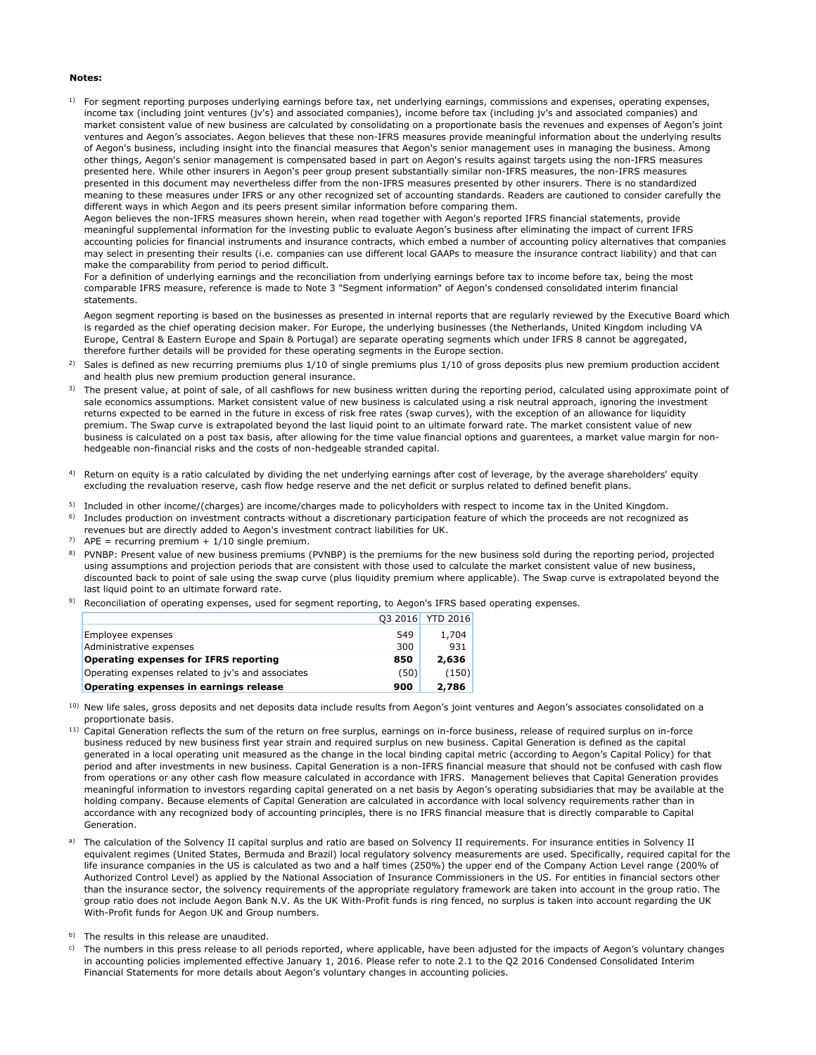#### **Notes:**

<sup>1)</sup> For segment reporting purposes underlying earnings before tax, net underlying earnings, commissions and expenses, operating expenses, income tax (including joint ventures (jv's) and associated companies), income before tax (including jv's and associated companies) and market consistent value of new business are calculated by consolidating on a proportionate basis the revenues and expenses of Aegon's joint ventures and Aegon's associates. Aegon believes that these non-IFRS measures provide meaningful information about the underlying results of Aegon's business, including insight into the financial measures that Aegon's senior management uses in managing the business. Among other things, Aegon's senior management is compensated based in part on Aegon's results against targets using the non-IFRS measures presented here. While other insurers in Aegon's peer group present substantially similar non-IFRS measures, the non-IFRS measures presented in this document may nevertheless differ from the non-IFRS measures presented by other insurers. There is no standardized meaning to these measures under IFRS or any other recognized set of accounting standards. Readers are cautioned to consider carefully the different ways in which Aegon and its peers present similar information before comparing them.

Aegon believes the non-IFRS measures shown herein, when read together with Aegon's reported IFRS financial statements, provide meaningful supplemental information for the investing public to evaluate Aegon's business after eliminating the impact of current IFRS accounting policies for financial instruments and insurance contracts, which embed a number of accounting policy alternatives that companies may select in presenting their results (i.e. companies can use different local GAAPs to measure the insurance contract liability) and that can make the comparability from period to period difficult.

For a definition of underlying earnings and the reconciliation from underlying earnings before tax to income before tax, being the most comparable IFRS measure, reference is made to Note 3 "Segment information" of Aegon's condensed consolidated interim financial statements.

Aegon segment reporting is based on the businesses as presented in internal reports that are regularly reviewed by the Executive Board which is regarded as the chief operating decision maker. For Europe, the underlying businesses (the Netherlands, United Kingdom including VA Europe, Central & Eastern Europe and Spain & Portugal) are separate operating segments which under IFRS 8 cannot be aggregated, therefore further details will be provided for these operating segments in the Europe section.

- $^{2)}$  Sales is defined as new recurring premiums plus 1/10 of single premiums plus 1/10 of gross deposits plus new premium production accident and health plus new premium production general insurance.
- <sup>3)</sup> The present value, at point of sale, of all cashflows for new business written during the reporting period, calculated using approximate point of sale economics assumptions. Market consistent value of new business is calculated using a risk neutral approach, ignoring the investment returns expected to be earned in the future in excess of risk free rates (swap curves), with the exception of an allowance for liquidity premium. The Swap curve is extrapolated beyond the last liquid point to an ultimate forward rate. The market consistent value of new business is calculated on a post tax basis, after allowing for the time value financial options and guarentees, a market value margin for nonhedgeable non-financial risks and the costs of non-hedgeable stranded capital.
- $4$ ) Return on equity is a ratio calculated by dividing the net underlying earnings after cost of leverage, by the average shareholders' equity excluding the revaluation reserve, cash flow hedge reserve and the net deficit or surplus related to defined benefit plans.

<sup>5)</sup> Included in other income/(charges) are income/charges made to policyholders with respect to income tax in the United Kingdom.

- <sup>6)</sup> Includes production on investment contracts without a discretionary participation feature of which the proceeds are not recognized as
- revenues but are directly added to Aegon's investment contract liabilities for UK.
- <sup>7)</sup> APE = recurring premium +  $1/10$  single premium.
- <sup>8)</sup> PVNBP: Present value of new business premiums (PVNBP) is the premiums for the new business sold during the reporting period, projected using assumptions and projection periods that are consistent with those used to calculate the market consistent value of new business, discounted back to point of sale using the swap curve (plus liquidity premium where applicable). The Swap curve is extrapolated beyond the last liquid point to an ultimate forward rate.
- <sup>9)</sup> Reconciliation of operating expenses, used for segment reporting, to Aegon's IFRS based operating expenses.

|                                                   |      | 03 2016 YTD 2016 |
|---------------------------------------------------|------|------------------|
| Employee expenses                                 | 549  | 1,704            |
| Administrative expenses                           | 300  | 931              |
| <b>Operating expenses for IFRS reporting</b>      | 850  | 2,636            |
| Operating expenses related to jv's and associates | (50) | (150)            |
| Operating expenses in earnings release            | 900  | 2,786            |

<sup>10)</sup> New life sales, gross deposits and net deposits data include results from Aegon's joint ventures and Aegon's associates consolidated on a proportionate basis.

- <sup>11)</sup> Capital Generation reflects the sum of the return on free surplus, earnings on in-force business, release of required surplus on in-force business reduced by new business first year strain and required surplus on new business. Capital Generation is defined as the capital generated in a local operating unit measured as the change in the local binding capital metric (according to Aegon's Capital Policy) for that period and after investments in new business. Capital Generation is a non-IFRS financial measure that should not be confused with cash flow from operations or any other cash flow measure calculated in accordance with IFRS. Management believes that Capital Generation provides meaningful information to investors regarding capital generated on a net basis by Aegon's operating subsidiaries that may be available at the holding company. Because elements of Capital Generation are calculated in accordance with local solvency requirements rather than in accordance with any recognized body of accounting principles, there is no IFRS financial measure that is directly comparable to Capital Generation.
- a) The calculation of the Solvency II capital surplus and ratio are based on Solvency II requirements. For insurance entities in Solvency II equivalent regimes (United States, Bermuda and Brazil) local regulatory solvency measurements are used. Specifically, required capital for the life insurance companies in the US is calculated as two and a half times (250%) the upper end of the Company Action Level range (200% of Authorized Control Level) as applied by the National Association of Insurance Commissioners in the US. For entities in financial sectors other than the insurance sector, the solvency requirements of the appropriate regulatory framework are taken into account in the group ratio. The group ratio does not include Aegon Bank N.V. As the UK With-Profit funds is ring fenced, no surplus is taken into account regarding the UK With-Profit funds for Aegon UK and Group numbers.
- b) The results in this release are unaudited.

c) The numbers in this press release to all periods reported, where applicable, have been adjusted for the impacts of Aegon's voluntary changes in accounting policies implemented effective January 1, 2016. Please refer to note 2.1 to the Q2 2016 Condensed Consolidated Interim Financial Statements for more details about Aegon's voluntary changes in accounting policies.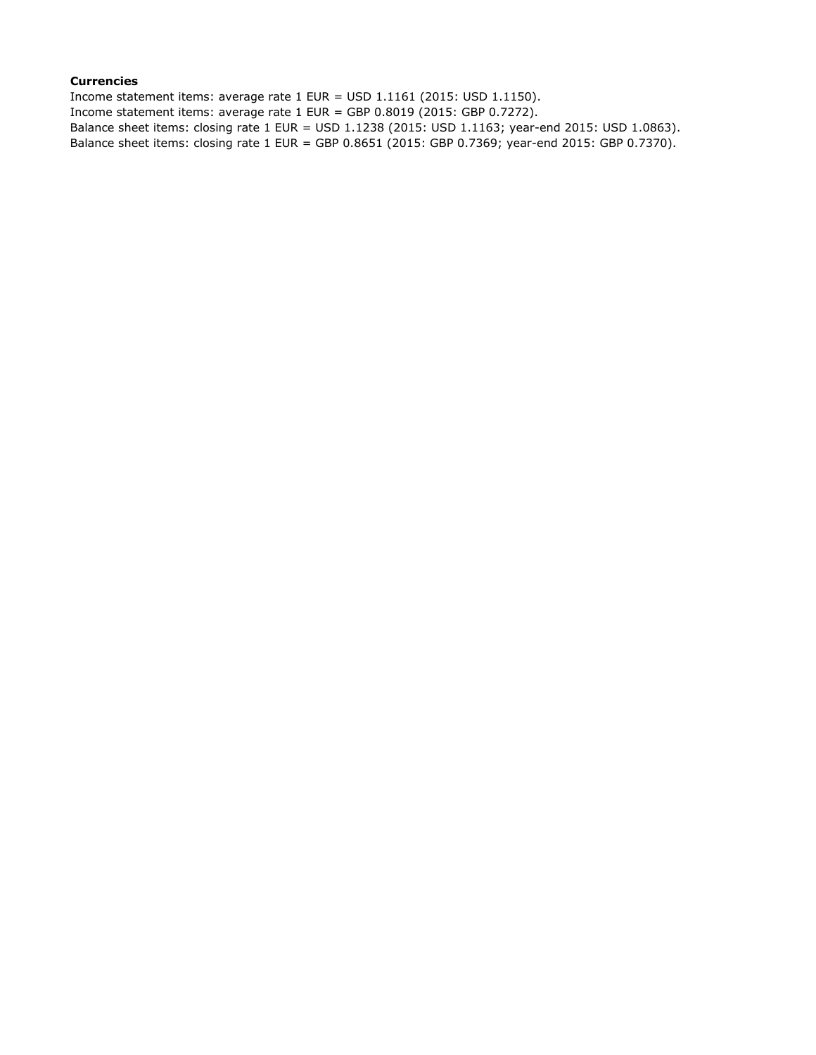## **Currencies**

Income statement items: average rate 1 EUR = USD 1.1161 (2015: USD 1.1150). Income statement items: average rate 1 EUR = GBP 0.8019 (2015: GBP 0.7272). Balance sheet items: closing rate 1 EUR = USD 1.1238 (2015: USD 1.1163; year-end 2015: USD 1.0863). Balance sheet items: closing rate 1 EUR = GBP 0.8651 (2015: GBP 0.7369; year-end 2015: GBP 0.7370).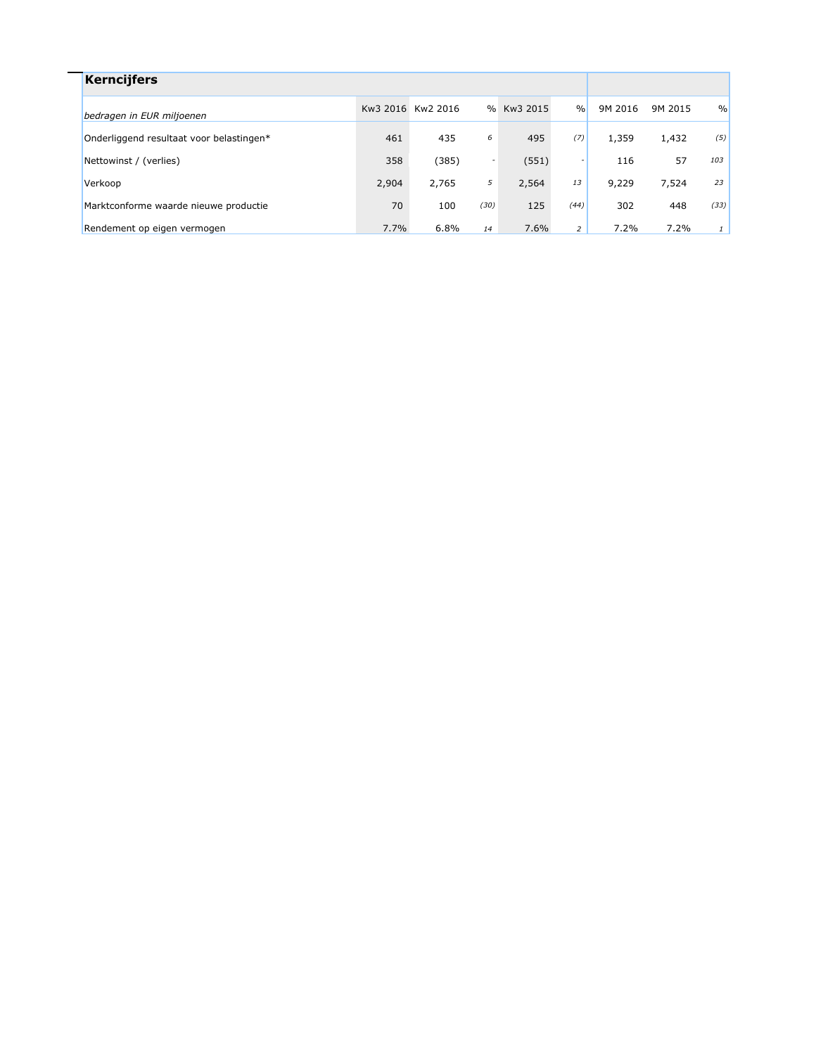| <b>Kerncijfers</b>                       |       |                   |                          |            |                |         |         |      |
|------------------------------------------|-------|-------------------|--------------------------|------------|----------------|---------|---------|------|
| bedragen in EUR miljoenen                |       | Kw3 2016 Kw2 2016 |                          | % Kw3 2015 | $\frac{9}{0}$  | 9M 2016 | 9M 2015 | $\%$ |
| Onderliggend resultaat voor belastingen* | 461   | 435               | 6                        | 495        | (7)            | 1,359   | 1,432   | (5)  |
| Nettowinst / (verlies)                   | 358   | (385)             | $\overline{\phantom{a}}$ | (551)      |                | 116     | 57      | 103  |
| Verkoop                                  | 2,904 | 2,765             | 5                        | 2,564      | 13             | 9,229   | 7,524   | 23   |
| Marktconforme waarde nieuwe productie    | 70    | 100               | (30)                     | 125        | (44)           | 302     | 448     | (33) |
| Rendement op eigen vermogen              | 7.7%  | 6.8%              | 14                       | 7.6%       | $\overline{2}$ | 7.2%    | 7.2%    |      |